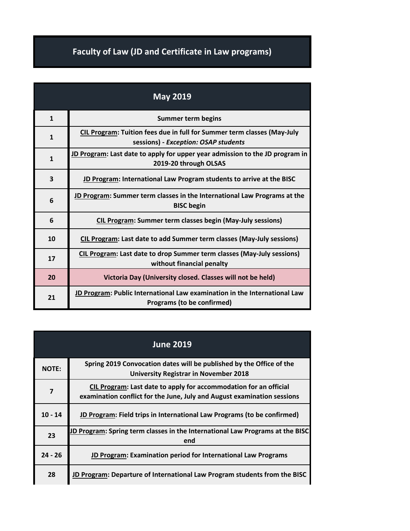## **Faculty of Law (JD and Certificate in Law programs)**

| <b>May 2019</b> |                                                                                                                 |
|-----------------|-----------------------------------------------------------------------------------------------------------------|
| $\mathbf{1}$    | <b>Summer term begins</b>                                                                                       |
| $\mathbf{1}$    | CIL Program: Tuition fees due in full for Summer term classes (May-July<br>sessions) - Exception: OSAP students |
| $\mathbf{1}$    | JD Program: Last date to apply for upper year admission to the JD program in<br>2019-20 through OLSAS           |
| 3               | JD Program: International Law Program students to arrive at the BISC                                            |
| 6               | <b>JD Program: Summer term classes in the International Law Programs at the</b><br><b>BISC begin</b>            |
| 6               | <b>CIL Program: Summer term classes begin (May-July sessions)</b>                                               |
| 10              | CIL Program: Last date to add Summer term classes (May-July sessions)                                           |
| 17              | <b>CIL Program: Last date to drop Summer term classes (May-July sessions)</b><br>without financial penalty      |
| 20              | Victoria Day (University closed. Classes will not be held)                                                      |
| 21              | JD Program: Public International Law examination in the International Law<br>Programs (to be confirmed)         |

| <b>June 2019</b> |                                                                                                                                              |
|------------------|----------------------------------------------------------------------------------------------------------------------------------------------|
| <b>NOTE:</b>     | Spring 2019 Convocation dates will be published by the Office of the<br><b>University Registrar in November 2018</b>                         |
| $\overline{7}$   | CIL Program: Last date to apply for accommodation for an official<br>examination conflict for the June, July and August examination sessions |
| $10 - 14$        | JD Program: Field trips in International Law Programs (to be confirmed)                                                                      |
| 23               | JD Program: Spring term classes in the International Law Programs at the BISC<br>end                                                         |
| $24 - 26$        | JD Program: Examination period for International Law Programs                                                                                |
| 28               | JD Program: Departure of International Law Program students from the BISC                                                                    |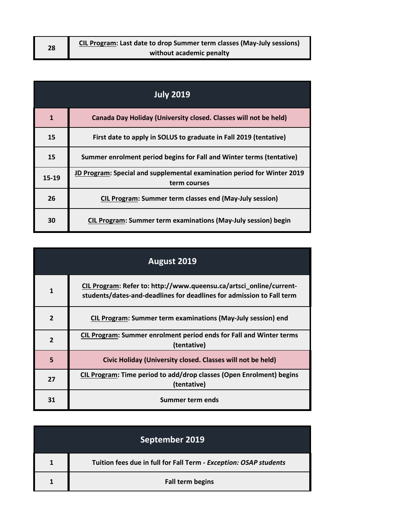| 28 | CIL Program: Last date to drop Summer term classes (May-July sessions) |  |
|----|------------------------------------------------------------------------|--|
|    | without academic penalty                                               |  |

| <b>July 2019</b> |                                                                                         |
|------------------|-----------------------------------------------------------------------------------------|
| $\mathbf{1}$     | Canada Day Holiday (University closed. Classes will not be held)                        |
| 15               | First date to apply in SOLUS to graduate in Fall 2019 (tentative)                       |
| 15               | Summer enrolment period begins for Fall and Winter terms (tentative)                    |
| 15-19            | JD Program: Special and supplemental examination period for Winter 2019<br>term courses |
| 26               | <b>CIL Program: Summer term classes end (May-July session)</b>                          |
| 30               | CIL Program: Summer term examinations (May-July session) begin                          |

| <b>August 2019</b> |                                                                                                                                              |
|--------------------|----------------------------------------------------------------------------------------------------------------------------------------------|
| 1                  | CIL Program: Refer to: http://www.queensu.ca/artsci_online/current-<br>students/dates-and-deadlines for deadlines for admission to Fall term |
| $\overline{2}$     | CIL Program: Summer term examinations (May-July session) end                                                                                 |
| $\overline{2}$     | CIL Program: Summer enrolment period ends for Fall and Winter terms<br>(tentative)                                                           |
| 5                  | Civic Holiday (University closed. Classes will not be held)                                                                                  |
| 27                 | CIL Program: Time period to add/drop classes (Open Enrolment) begins<br>(tentative)                                                          |
| 31                 | Summer term ends                                                                                                                             |

| September 2019                                                    |
|-------------------------------------------------------------------|
| Tuition fees due in full for Fall Term - Exception: OSAP students |
| <b>Fall term begins</b>                                           |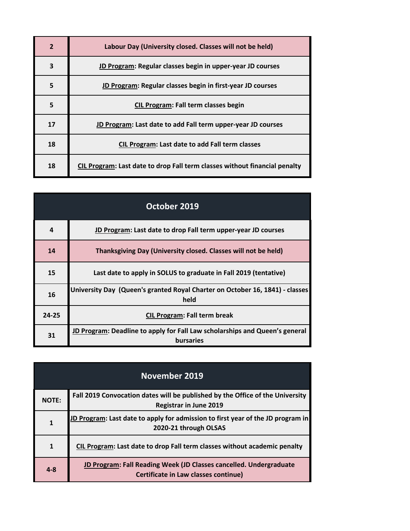| 2  | Labour Day (University closed. Classes will not be held)                   |
|----|----------------------------------------------------------------------------|
| 3  | JD Program: Regular classes begin in upper-year JD courses                 |
| 5  | JD Program: Regular classes begin in first-year JD courses                 |
| 5  | <b>CIL Program: Fall term classes begin</b>                                |
| 17 | JD Program: Last date to add Fall term upper-year JD courses               |
| 18 | <b>CIL Program: Last date to add Fall term classes</b>                     |
| 18 | CIL Program: Last date to drop Fall term classes without financial penalty |

| October 2019 |                                                                                          |
|--------------|------------------------------------------------------------------------------------------|
| 4            | JD Program: Last date to drop Fall term upper-year JD courses                            |
| 14           | Thanksgiving Day (University closed. Classes will not be held)                           |
| 15           | Last date to apply in SOLUS to graduate in Fall 2019 (tentative)                         |
| 16           | University Day (Queen's granted Royal Charter on October 16, 1841) - classes<br>held     |
| $24 - 25$    | <b>CIL Program: Fall term break</b>                                                      |
| 31           | JD Program: Deadline to apply for Fall Law scholarships and Queen's general<br>bursaries |

|              | <b>November 2019</b>                                                                                           |
|--------------|----------------------------------------------------------------------------------------------------------------|
| <b>NOTE:</b> | Fall 2019 Convocation dates will be published by the Office of the University<br><b>Registrar in June 2019</b> |
| $\mathbf{1}$ | JD Program: Last date to apply for admission to first year of the JD program in<br>2020-21 through OLSAS       |
| $\mathbf{1}$ | CIL Program: Last date to drop Fall term classes without academic penalty                                      |
| $4 - 8$      | JD Program: Fall Reading Week (JD Classes cancelled. Undergraduate<br>Certificate in Law classes continue)     |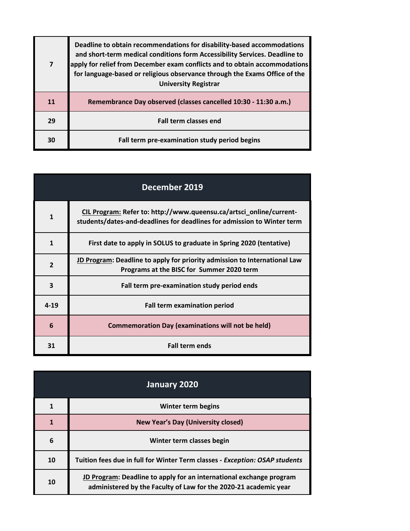| $\overline{7}$ | Deadline to obtain recommendations for disability-based accommodations<br>and short-term medical conditions form Accessibility Services. Deadline to<br>apply for relief from December exam conflicts and to obtain accommodations<br>for language-based or religious observance through the Exams Office of the<br><b>University Registrar</b> |
|----------------|-------------------------------------------------------------------------------------------------------------------------------------------------------------------------------------------------------------------------------------------------------------------------------------------------------------------------------------------------|
| 11             | Remembrance Day observed (classes cancelled 10:30 - 11:30 a.m.)                                                                                                                                                                                                                                                                                 |
| 29             | <b>Fall term classes end</b>                                                                                                                                                                                                                                                                                                                    |
| 30             | Fall term pre-examination study period begins                                                                                                                                                                                                                                                                                                   |

| December 2019  |                                                                                                                                                |
|----------------|------------------------------------------------------------------------------------------------------------------------------------------------|
| 1              | CIL Program: Refer to: http://www.queensu.ca/artsci_online/current-<br>students/dates-and-deadlines for deadlines for admission to Winter term |
| $\mathbf{1}$   | First date to apply in SOLUS to graduate in Spring 2020 (tentative)                                                                            |
| $\overline{2}$ | JD Program: Deadline to apply for priority admission to International Law<br>Programs at the BISC for Summer 2020 term                         |
| 3              | Fall term pre-examination study period ends                                                                                                    |
| $4 - 19$       | <b>Fall term examination period</b>                                                                                                            |
| 6              | <b>Commemoration Day (examinations will not be held)</b>                                                                                       |
| 31             | <b>Fall term ends</b>                                                                                                                          |

| January 2020 |                                                                                                                                         |
|--------------|-----------------------------------------------------------------------------------------------------------------------------------------|
| 1            | Winter term begins                                                                                                                      |
| 1            | <b>New Year's Day (University closed)</b>                                                                                               |
| 6            | Winter term classes begin                                                                                                               |
| 10           | Tuition fees due in full for Winter Term classes - Exception: OSAP students                                                             |
| 10           | JD Program: Deadline to apply for an international exchange program<br>administered by the Faculty of Law for the 2020-21 academic year |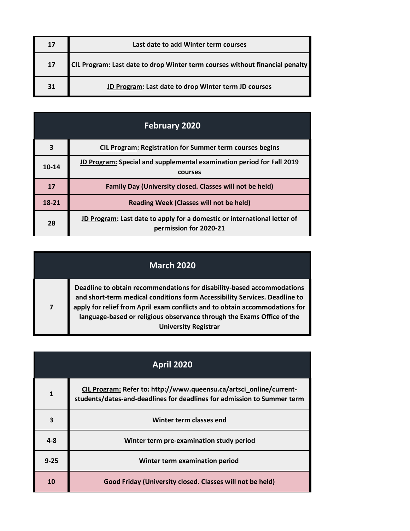| 17 | Last date to add Winter term courses                                         |
|----|------------------------------------------------------------------------------|
| 17 | CIL Program: Last date to drop Winter term courses without financial penalty |
| 31 | JD Program: Last date to drop Winter term JD courses                         |

| <b>February 2020</b> |                                                                                                    |
|----------------------|----------------------------------------------------------------------------------------------------|
| 3                    | <b>CIL Program: Registration for Summer term courses begins</b>                                    |
| $10 - 14$            | JD Program: Special and supplemental examination period for Fall 2019<br>courses                   |
| 17                   | Family Day (University closed. Classes will not be held)                                           |
| 18-21                | <b>Reading Week (Classes will not be held)</b>                                                     |
| 28                   | JD Program: Last date to apply for a domestic or international letter of<br>permission for 2020-21 |

| <b>March 2020</b> |                                                                                                                                                                                                                                                                                                                                              |
|-------------------|----------------------------------------------------------------------------------------------------------------------------------------------------------------------------------------------------------------------------------------------------------------------------------------------------------------------------------------------|
| $\overline{7}$    | Deadline to obtain recommendations for disability-based accommodations<br>and short-term medical conditions form Accessibility Services. Deadline to<br>apply for relief from April exam conflicts and to obtain accommodations for<br>language-based or religious observance through the Exams Office of the<br><b>University Registrar</b> |

| <b>April 2020</b> |                                                                                                                                                |
|-------------------|------------------------------------------------------------------------------------------------------------------------------------------------|
| 1                 | CIL Program: Refer to: http://www.queensu.ca/artsci_online/current-<br>students/dates-and-deadlines for deadlines for admission to Summer term |
| 3                 | Winter term classes end                                                                                                                        |
| $4 - 8$           | Winter term pre-examination study period                                                                                                       |
| $9 - 25$          | Winter term examination period                                                                                                                 |
| 10                | Good Friday (University closed. Classes will not be held)                                                                                      |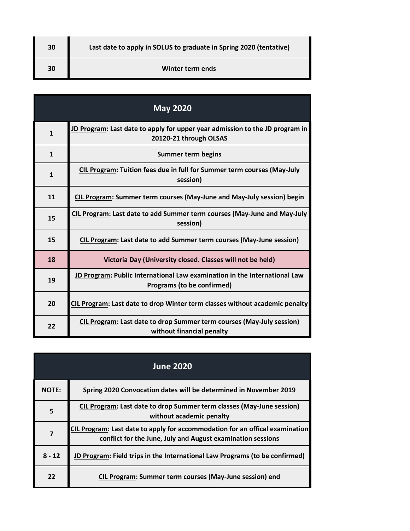| 30 | Last date to apply in SOLUS to graduate in Spring 2020 (tentative) |
|----|--------------------------------------------------------------------|
| 30 | Winter term ends                                                   |

 $\blacksquare$ 

| <b>May 2020</b> |                                                                                                         |
|-----------------|---------------------------------------------------------------------------------------------------------|
| $\mathbf{1}$    | JD Program: Last date to apply for upper year admission to the JD program in<br>20120-21 through OLSAS  |
| $\mathbf{1}$    | <b>Summer term begins</b>                                                                               |
| $\mathbf{1}$    | CIL Program: Tuition fees due in full for Summer term courses (May-July<br>session)                     |
| 11              | CIL Program: Summer term courses (May-June and May-July session) begin                                  |
| 15              | CIL Program: Last date to add Summer term courses (May-June and May-July<br>session)                    |
| 15              | CIL Program: Last date to add Summer term courses (May-June session)                                    |
| 18              | Victoria Day (University closed. Classes will not be held)                                              |
| 19              | JD Program: Public International Law examination in the International Law<br>Programs (to be confirmed) |
| 20              | CIL Program: Last date to drop Winter term classes without academic penalty                             |
| 22              | CIL Program: Last date to drop Summer term courses (May-July session)<br>without financial penalty      |

|                | <b>June 2020</b>                                                                                                                            |
|----------------|---------------------------------------------------------------------------------------------------------------------------------------------|
| <b>NOTE:</b>   | Spring 2020 Convocation dates will be determined in November 2019                                                                           |
| 5              | CIL Program: Last date to drop Summer term classes (May-June session)<br>without academic penalty                                           |
| $\overline{7}$ | CIL Program: Last date to apply for accommodation for an offical examination<br>conflict for the June, July and August examination sessions |
| $8 - 12$       | JD Program: Field trips in the International Law Programs (to be confirmed)                                                                 |
| 22             | <b>CIL Program: Summer term courses (May-June session) end</b>                                                                              |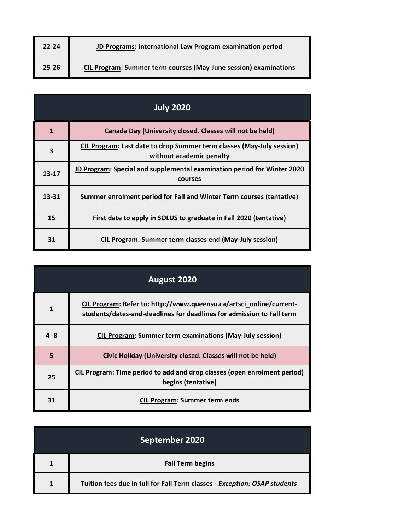| $22 - 24$ | JD Programs: International Law Program examination period               |
|-----------|-------------------------------------------------------------------------|
| $25 - 26$ | <b>CIL Program: Summer term courses (May-June session) examinations</b> |

| <b>July 2020</b> |                                                                                                   |
|------------------|---------------------------------------------------------------------------------------------------|
| 1                | Canada Day (University closed. Classes will not be held)                                          |
| 3                | CIL Program: Last date to drop Summer term classes (May-July session)<br>without academic penalty |
| $13 - 17$        | JD Program: Special and supplemental examination period for Winter 2020<br>courses                |
| 13-31            | Summer enrolment period for Fall and Winter Term courses (tentative)                              |
| 15               | First date to apply in SOLUS to graduate in Fall 2020 (tentative)                                 |
| 31               | <b>CIL Program: Summer term classes end (May-July session)</b>                                    |

| August 2020  |                                                                                                                                              |
|--------------|----------------------------------------------------------------------------------------------------------------------------------------------|
| $\mathbf{1}$ | CIL Program: Refer to: http://www.queensu.ca/artsci_online/current-<br>students/dates-and-deadlines for deadlines for admission to Fall term |
| $4 - 8$      | <b>CIL Program: Summer term examinations (May-July session)</b>                                                                              |
| 5            | Civic Holiday (University closed. Classes will not be held)                                                                                  |
| 25           | CIL Program: Time period to add and drop classes (open enrolment period)<br>begins (tentative)                                               |
| 31           | <b>CIL Program: Summer term ends</b>                                                                                                         |

|   | September 2020                                                            |
|---|---------------------------------------------------------------------------|
|   | <b>Fall Term begins</b>                                                   |
| 1 | Tuition fees due in full for Fall Term classes - Exception: OSAP students |